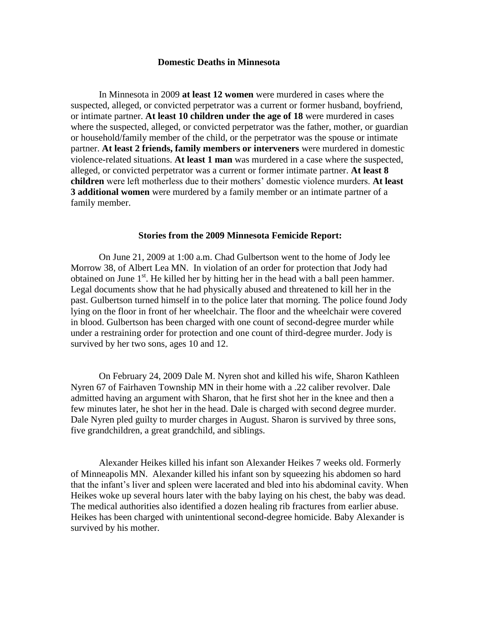## **Domestic Deaths in Minnesota**

In Minnesota in 2009 **at least 12 women** were murdered in cases where the suspected, alleged, or convicted perpetrator was a current or former husband, boyfriend, or intimate partner. **At least 10 children under the age of 18** were murdered in cases where the suspected, alleged, or convicted perpetrator was the father, mother, or guardian or household/family member of the child, or the perpetrator was the spouse or intimate partner. **At least 2 friends, family members or interveners** were murdered in domestic violence-related situations. **At least 1 man** was murdered in a case where the suspected, alleged, or convicted perpetrator was a current or former intimate partner. **At least 8 children** were left motherless due to their mothers' domestic violence murders. **At least 3 additional women** were murdered by a family member or an intimate partner of a family member.

## **Stories from the 2009 Minnesota Femicide Report:**

On June 21, 2009 at 1:00 a.m. Chad Gulbertson went to the home of Jody lee Morrow 38, of Albert Lea MN. In violation of an order for protection that Jody had obtained on June  $1<sup>st</sup>$ . He killed her by hitting her in the head with a ball peen hammer. Legal documents show that he had physically abused and threatened to kill her in the past. Gulbertson turned himself in to the police later that morning. The police found Jody lying on the floor in front of her wheelchair. The floor and the wheelchair were covered in blood. Gulbertson has been charged with one count of second-degree murder while under a restraining order for protection and one count of third-degree murder. Jody is survived by her two sons, ages 10 and 12.

On February 24, 2009 Dale M. Nyren shot and killed his wife, Sharon Kathleen Nyren 67 of Fairhaven Township MN in their home with a .22 caliber revolver. Dale admitted having an argument with Sharon, that he first shot her in the knee and then a few minutes later, he shot her in the head. Dale is charged with second degree murder. Dale Nyren pled guilty to murder charges in August. Sharon is survived by three sons, five grandchildren, a great grandchild, and siblings.

Alexander Heikes killed his infant son Alexander Heikes 7 weeks old. Formerly of Minneapolis MN. Alexander killed his infant son by squeezing his abdomen so hard that the infant's liver and spleen were lacerated and bled into his abdominal cavity. When Heikes woke up several hours later with the baby laying on his chest, the baby was dead. The medical authorities also identified a dozen healing rib fractures from earlier abuse. Heikes has been charged with unintentional second-degree homicide. Baby Alexander is survived by his mother.